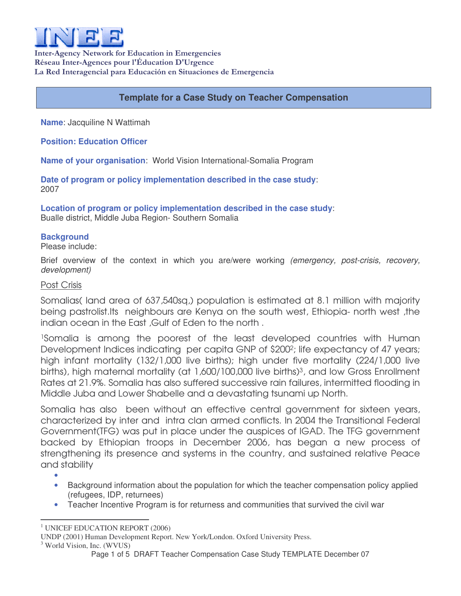

Inter-Agency Network for Education in Emergencies Réseau Inter-Agences pour l'Éducation D'Urgence La Red Interagencial para Educación en Situaciones de Emergencia

# **Template for a Case Study on Teacher Compensation**

**Name**: Jacquiline N Wattimah

**Position: Education Officer**

**Name of your organisation**: World Vision International-Somalia Program

**Date of program or policy implementation described in the case study**: 2007

**Location of program or policy implementation described in the case study**: Bualle district, Middle Juba Region- Southern Somalia

## **Background**

Please include:

Brief overview of the context in which you are/were working *(emergency, post-crisis, recovery, development)*

# Post Crisis

Somalias( land area of 637,540sq,) population is estimated at 8.1 million with majority being pastrolist.Its neighbours are Kenya on the south west, Ethiopia- north west ,the indian ocean in the East ,Gulf of Eden to the north .

<sup>1</sup>Somalia is among the poorest of the least developed countries with Human Development Indices indicating per capita GNP of \$200<sup>2</sup>; life expectancy of 47 years; high infant mortality (132/1,000 live births); high under five mortality (224/1,000 live births), high maternal mortality (at 1,600/100,000 live births) <sup>3</sup>, and low Gross Enrollment Rates at 21.9%. Somalia has also suffered successive rain failures, intermitted flooding in Middle Juba and Lower Shabelle and a devastating tsunami up North.

Somalia has also been without an effective central government for sixteen years, characterized by inter and intra clan armed conflicts. In 2004 the Transitional Federal Government(TFG) was put in place under the auspices of IGAD. The TFG government backed by Ethiopian troops in December 2006, has began a new process of strengthening its presence and systems in the country, and sustained relative Peace and stability

•

- Background information about the population for which the teacher compensation policy applied (refugees, IDP, returnees)
- Teacher Incentive Program is for returness and communities that survived the civil war

<sup>&</sup>lt;sup>1</sup> UNICEF EDUCATION REPORT (2006)

UNDP (2001) Human Development Report. New York/London. Oxford University Press.

<sup>&</sup>lt;sup>3</sup> World Vision, Inc. (WVUS)

Page 1 of 5 DRAFT Teacher Compensation Case Study TEMPLATE December 07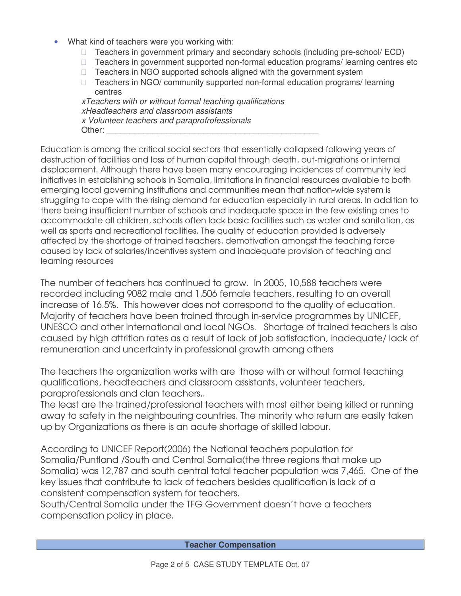• What kind of teachers were you working with:

 Teachers in government primary and secondary schools (including pre-school/ ECD) Teachers in government supported non-formal education programs/ learning centres etc Teachers in NGO supported schools aligned with the government system Teachers in NGO/ community supported non-formal education programs/ learning centres *xTeachers with or without formal teaching qualifications*

*xHeadteachers and classroom assistants x Volunteer teachers and paraprofrofessionals* Other:

Education is among the critical social sectors that essentially collapsed following years of destruction of facilities and loss of human capital through death, out-migrations or internal displacement. Although there have been many encouraging incidences of community led initiatives in establishing schools in Somalia, limitations in financial resources available to both emerging local governing institutions and communities mean that nation-wide system is struggling to cope with the rising demand for education especially in rural areas. In addition to there being insufficient number of schools and inadequate space in the few existing ones to accommodate all children, schools often lack basic facilities such as water and sanitation, as well as sports and recreational facilities. The quality of education provided is adversely affected by the shortage of trained teachers, demotivation amongst the teaching force caused by lack of salaries/incentives system and inadequate provision of teaching and learning resources

The number of teachers has continued to grow. In 2005, 10,588 teachers were recorded including 9082 male and 1,506 female teachers, resulting to an overall increase of 16.5%. This however does not correspond to the quality of education. Majority of teachers have been trained through in-service programmes by UNICEF, UNESCO and other international and local NGOs. Shortage of trained teachers is also caused by high attrition rates as a result of lack of job satisfaction, inadequate/ lack of remuneration and uncertainty in professional growth among others

The teachers the organization works with are those with or without formal teaching qualifications, headteachers and classroom assistants, volunteer teachers, paraprofessionals and clan teachers..

The least are the trained/professional teachers with most either being killed or running away to safety in the neighbouring countries. The minority who return are easily taken up by Organizations as there is an acute shortage of skilled labour.

According to UNICEF Report(2006) the National teachers population for Somalia/Puntland /South and Central Somalia(the three regions that make up Somalia) was 12,787 and south central total teacher population was 7,465. One of the key issues that contribute to lack of teachers besides qualification is lack of a consistent compensation system for teachers.

South/Central Somalia under the TFG Government doesn't have a teachers compensation policy in place.

**Teacher Compensation**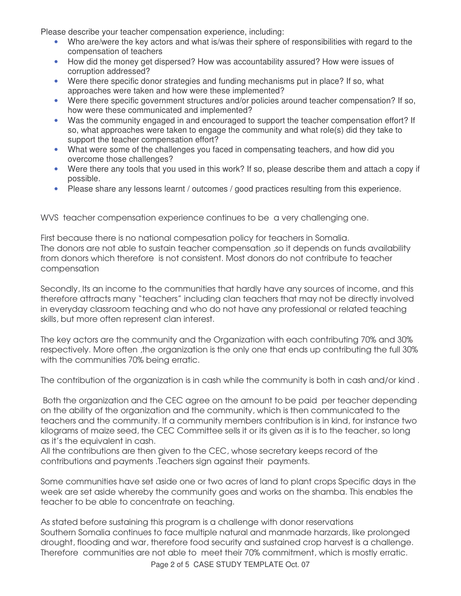Please describe your teacher compensation experience, including:

- Who are/were the key actors and what is/was their sphere of responsibilities with regard to the compensation of teachers
- How did the money get dispersed? How was accountability assured? How were issues of corruption addressed?
- Were there specific donor strategies and funding mechanisms put in place? If so, what approaches were taken and how were these implemented?
- Were there specific government structures and/or policies around teacher compensation? If so, how were these communicated and implemented?
- Was the community engaged in and encouraged to support the teacher compensation effort? If so, what approaches were taken to engage the community and what role(s) did they take to support the teacher compensation effort?
- What were some of the challenges you faced in compensating teachers, and how did you overcome those challenges?
- Were there any tools that you used in this work? If so, please describe them and attach a copy if possible.
- Please share any lessons learnt / outcomes / good practices resulting from this experience.

WVS teacher compensation experience continues to be a very challenging one.

First because there is no national compesation policy for teachers in Somalia. The donors are not able to sustain teacher compensation ,so it depends on funds availability from donors which therefore is not consistent. Most donors do not contribute to teacher compensation

Secondly, Its an income to the communities that hardly have any sources of income, and this therefore attracts many "teachers" including clan teachers that may not be directly involved in everyday classroom teaching and who do not have any professional or related teaching skills, but more often represent clan interest.

The key actors are the community and the Organization with each contributing 70% and 30% respectively. More often, the organization is the only one that ends up contributing the full 30% with the communities 70% being erratic.

The contribution of the organization is in cash while the community is both in cash and/or kind .

Both the organization and the CEC agree on the amount to be paid per teacher depending on the ability of the organization and the community, which is then communicated to the teachers and the community. If a community members contribution is in kind, for instance two kilograms of maize seed, the CEC Committee sells it or its given as it is to the teacher, so long as it's the equivalent in cash.

All the contributions are then given to the CEC, whose secretary keeps record of the contributions and payments .Teachers sign against their payments.

Some communities have set aside one or two acres of land to plant crops Specific days in the week are set aside whereby the community goes and works on the shamba. This enables the teacher to be able to concentrate on teaching.

As stated before sustaining this program is a challenge with donor reservations Southern Somalia continues to face multiple natural and manmade harzards, like prolonged drought, flooding and war, therefore food security and sustained crop harvest is a challenge. Therefore communities are not able to meet their 70% commitment, which is mostly erratic.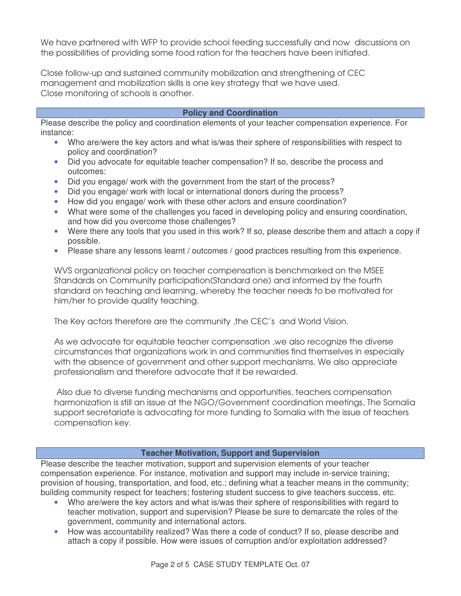We have partnered with WFP to provide school feeding successfully and now discussions on the possibilities of providing some food ration for the teachers have been initiated.

Close follow-up and sustained community mobilization and strengthening of CEC management and mobilization skills is one key strategy that we have used. Close monitoring of schools is another.

### **Policy and Coordination**

Please describe the policy and coordination elements of your teacher compensation experience. For instance:

- Who are/were the key actors and what is/was their sphere of responsibilities with respect to policy and coordination?
- Did you advocate for equitable teacher compensation? If so, describe the process and outcomes:
- Did you engage/ work with the government from the start of the process?
- Did you engage/ work with local or international donors during the process?
- How did you engage/ work with these other actors and ensure coordination?
- What were some of the challenges you faced in developing policy and ensuring coordination, and how did you overcome those challenges?
- Were there any tools that you used in this work? If so, please describe them and attach a copy if possible.
- Please share any lessons learnt / outcomes / good practices resulting from this experience.

WVS organizational policy on teacher compensation is benchmarked on the MSEE Standards on Community participation(Standard one) and informed by the fourth standard on teaching and learning, whereby the teacher needs to be motivated for him/her to provide quality teaching.

The Key actors therefore are the community ,the CEC's and World Vision.

As we advocate for equitable teacher compensation ,we also recognize the diverse circumstances that organizations work in and communities find themselves in especially with the absence of government and other support mechanisms. We also appreciate professionalism and therefore advocate that it be rewarded.

Also due to diverse funding mechanisms and opportunities, teachers compensation harmonization is still an issue at the NGO/Government coordination meetings, The Somalia support secretariate is advocating for more funding to Somalia with the issue of teachers compensation key.

#### **Teacher Motivation, Support and Supervision**

Please describe the teacher motivation, support and supervision elements of your teacher compensation experience. For instance, motivation and support may include in-service training; provision of housing, transportation, and food, etc.; defining what a teacher means in the community; building community respect for teachers; fostering student success to give teachers success, etc.

- Who are/were the key actors and what is/was their sphere of responsibilities with regard to teacher motivation, support and supervision? Please be sure to demarcate the roles of the government, community and international actors.
- How was accountability realized? Was there a code of conduct? If so, please describe and attach a copy if possible. How were issues of corruption and/or exploitation addressed?